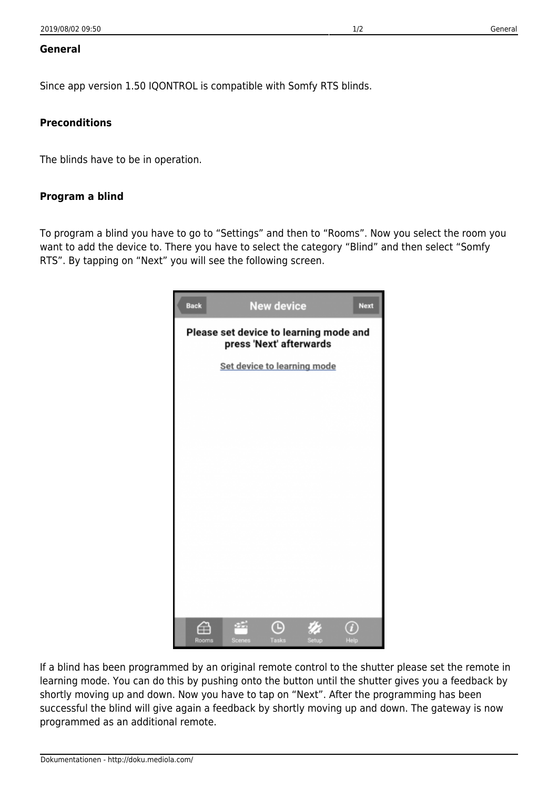## **General**

Since app version 1.50 IQONTROL is compatible with Somfy RTS blinds.

## **Preconditions**

The blinds have to be in operation.

## **Program a blind**

To program a blind you have to go to "Settings" and then to "Rooms". Now you select the room you want to add the device to. There you have to select the category "Blind" and then select "Somfy RTS". By tapping on "Next" you will see the following screen.



If a blind has been programmed by an original remote control to the shutter please set the remote in learning mode. You can do this by pushing onto the button until the shutter gives you a feedback by shortly moving up and down. Now you have to tap on "Next". After the programming has been successful the blind will give again a feedback by shortly moving up and down. The gateway is now programmed as an additional remote.